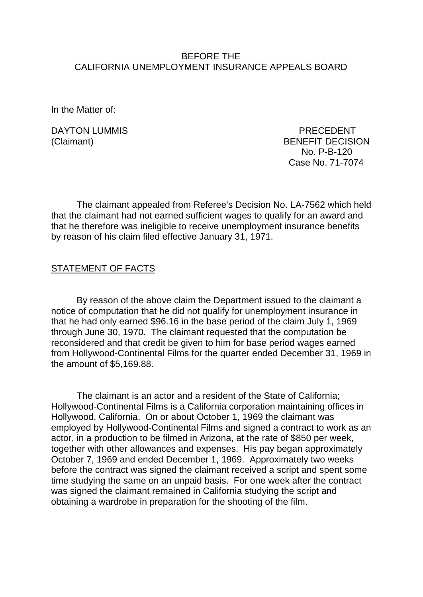### BEFORE THE CALIFORNIA UNEMPLOYMENT INSURANCE APPEALS BOARD

In the Matter of:

DAYTON LUMMIS PRECEDENT

(Claimant) BENEFIT DECISION No. P-B-120 Case No. 71-7074

The claimant appealed from Referee's Decision No. LA-7562 which held that the claimant had not earned sufficient wages to qualify for an award and that he therefore was ineligible to receive unemployment insurance benefits by reason of his claim filed effective January 31, 1971.

#### STATEMENT OF FACTS

By reason of the above claim the Department issued to the claimant a notice of computation that he did not qualify for unemployment insurance in that he had only earned \$96.16 in the base period of the claim July 1, 1969 through June 30, 1970. The claimant requested that the computation be reconsidered and that credit be given to him for base period wages earned from Hollywood-Continental Films for the quarter ended December 31, 1969 in the amount of \$5,169.88.

The claimant is an actor and a resident of the State of California; Hollywood-Continental Films is a California corporation maintaining offices in Hollywood, California. On or about October 1, 1969 the claimant was employed by Hollywood-Continental Films and signed a contract to work as an actor, in a production to be filmed in Arizona, at the rate of \$850 per week, together with other allowances and expenses. His pay began approximately October 7, 1969 and ended December 1, 1969. Approximately two weeks before the contract was signed the claimant received a script and spent some time studying the same on an unpaid basis. For one week after the contract was signed the claimant remained in California studying the script and obtaining a wardrobe in preparation for the shooting of the film.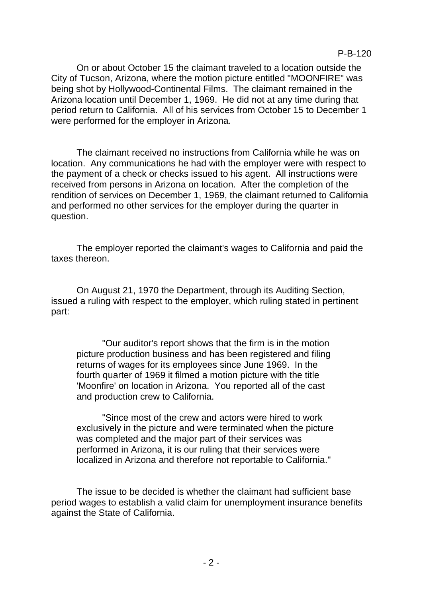On or about October 15 the claimant traveled to a location outside the City of Tucson, Arizona, where the motion picture entitled "MOONFIRE" was being shot by Hollywood-Continental Films. The claimant remained in the Arizona location until December 1, 1969. He did not at any time during that period return to California. All of his services from October 15 to December 1 were performed for the employer in Arizona.

The claimant received no instructions from California while he was on location. Any communications he had with the employer were with respect to the payment of a check or checks issued to his agent. All instructions were received from persons in Arizona on location. After the completion of the rendition of services on December 1, 1969, the claimant returned to California and performed no other services for the employer during the quarter in question.

The employer reported the claimant's wages to California and paid the taxes thereon.

On August 21, 1970 the Department, through its Auditing Section, issued a ruling with respect to the employer, which ruling stated in pertinent part:

"Our auditor's report shows that the firm is in the motion picture production business and has been registered and filing returns of wages for its employees since June 1969. In the fourth quarter of 1969 it filmed a motion picture with the title 'Moonfire' on location in Arizona. You reported all of the cast and production crew to California.

"Since most of the crew and actors were hired to work exclusively in the picture and were terminated when the picture was completed and the major part of their services was performed in Arizona, it is our ruling that their services were localized in Arizona and therefore not reportable to California."

The issue to be decided is whether the claimant had sufficient base period wages to establish a valid claim for unemployment insurance benefits against the State of California.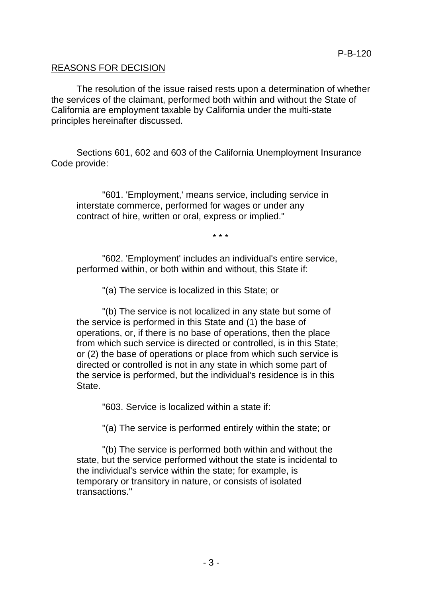# REASONS FOR DECISION

The resolution of the issue raised rests upon a determination of whether the services of the claimant, performed both within and without the State of California are employment taxable by California under the multi-state principles hereinafter discussed.

Sections 601, 602 and 603 of the California Unemployment Insurance Code provide:

"601. 'Employment,' means service, including service in interstate commerce, performed for wages or under any contract of hire, written or oral, express or implied."

\* \* \*

"602. 'Employment' includes an individual's entire service, performed within, or both within and without, this State if:

"(a) The service is localized in this State; or

"(b) The service is not localized in any state but some of the service is performed in this State and (1) the base of operations, or, if there is no base of operations, then the place from which such service is directed or controlled, is in this State; or (2) the base of operations or place from which such service is directed or controlled is not in any state in which some part of the service is performed, but the individual's residence is in this State.

"603. Service is localized within a state if:

"(a) The service is performed entirely within the state; or

"(b) The service is performed both within and without the state, but the service performed without the state is incidental to the individual's service within the state; for example, is temporary or transitory in nature, or consists of isolated transactions."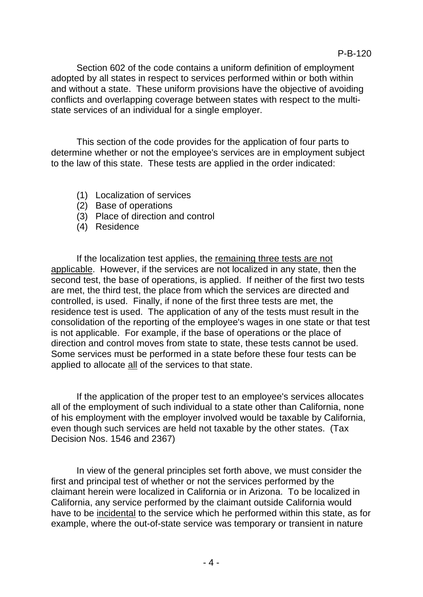Section 602 of the code contains a uniform definition of employment adopted by all states in respect to services performed within or both within and without a state. These uniform provisions have the objective of avoiding conflicts and overlapping coverage between states with respect to the multistate services of an individual for a single employer.

This section of the code provides for the application of four parts to determine whether or not the employee's services are in employment subject to the law of this state. These tests are applied in the order indicated:

- (1) Localization of services
- (2) Base of operations
- (3) Place of direction and control
- (4) Residence

If the localization test applies, the remaining three tests are not applicable. However, if the services are not localized in any state, then the second test, the base of operations, is applied. If neither of the first two tests are met, the third test, the place from which the services are directed and controlled, is used. Finally, if none of the first three tests are met, the residence test is used. The application of any of the tests must result in the consolidation of the reporting of the employee's wages in one state or that test is not applicable. For example, if the base of operations or the place of direction and control moves from state to state, these tests cannot be used. Some services must be performed in a state before these four tests can be applied to allocate all of the services to that state.

If the application of the proper test to an employee's services allocates all of the employment of such individual to a state other than California, none of his employment with the employer involved would be taxable by California, even though such services are held not taxable by the other states. (Tax Decision Nos. 1546 and 2367)

In view of the general principles set forth above, we must consider the first and principal test of whether or not the services performed by the claimant herein were localized in California or in Arizona. To be localized in California, any service performed by the claimant outside California would have to be incidental to the service which he performed within this state, as for example, where the out-of-state service was temporary or transient in nature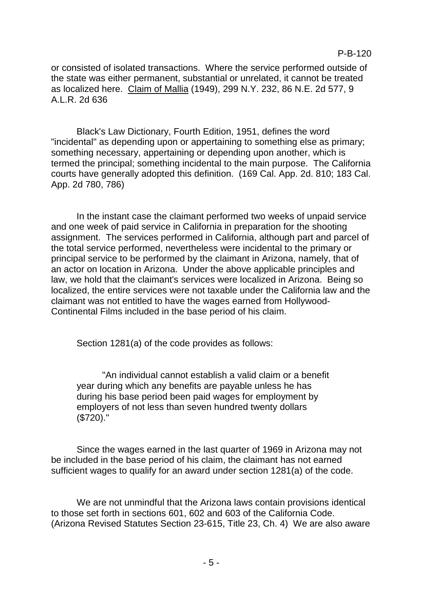or consisted of isolated transactions. Where the service performed outside of the state was either permanent, substantial or unrelated, it cannot be treated as localized here. Claim of Mallia (1949), 299 N.Y. 232, 86 N.E. 2d 577, 9 A.L.R. 2d 636

Black's Law Dictionary, Fourth Edition, 1951, defines the word "incidental" as depending upon or appertaining to something else as primary; something necessary, appertaining or depending upon another, which is termed the principal; something incidental to the main purpose. The California courts have generally adopted this definition. (169 Cal. App. 2d. 810; 183 Cal. App. 2d 780, 786)

In the instant case the claimant performed two weeks of unpaid service and one week of paid service in California in preparation for the shooting assignment. The services performed in California, although part and parcel of the total service performed, nevertheless were incidental to the primary or principal service to be performed by the claimant in Arizona, namely, that of an actor on location in Arizona. Under the above applicable principles and law, we hold that the claimant's services were localized in Arizona. Being so localized, the entire services were not taxable under the California law and the claimant was not entitled to have the wages earned from Hollywood-Continental Films included in the base period of his claim.

Section 1281(a) of the code provides as follows:

"An individual cannot establish a valid claim or a benefit year during which any benefits are payable unless he has during his base period been paid wages for employment by employers of not less than seven hundred twenty dollars (\$720)."

Since the wages earned in the last quarter of 1969 in Arizona may not be included in the base period of his claim, the claimant has not earned sufficient wages to qualify for an award under section 1281(a) of the code.

We are not unmindful that the Arizona laws contain provisions identical to those set forth in sections 601, 602 and 603 of the California Code. (Arizona Revised Statutes Section 23-615, Title 23, Ch. 4) We are also aware